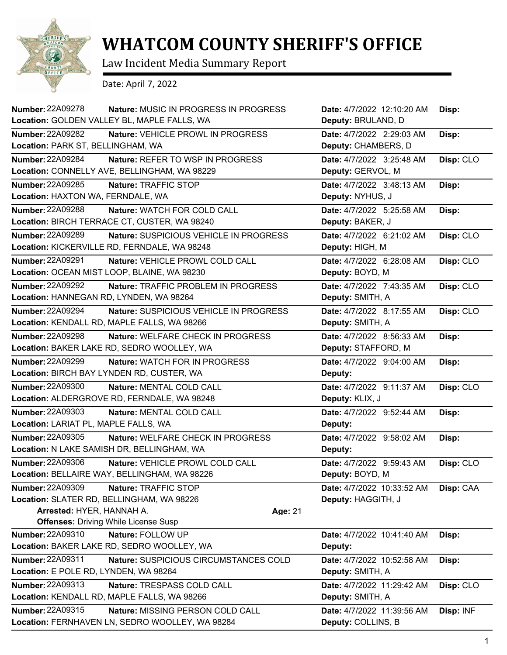

## **WHATCOM COUNTY SHERIFF'S OFFICE**

Law Incident Media Summary Report

Date: April 7, 2022

| <b>Number: 22A09278</b>                                                                           | <b>Nature: MUSIC IN PROGRESS IN PROGRESS</b><br>Location: GOLDEN VALLEY BL, MAPLE FALLS, WA                    |         | Date: 4/7/2022 12:10:20 AM<br>Deputy: BRULAND, D | Disp:     |
|---------------------------------------------------------------------------------------------------|----------------------------------------------------------------------------------------------------------------|---------|--------------------------------------------------|-----------|
| <b>Number: 22A09282</b><br>Location: PARK ST, BELLINGHAM, WA                                      | Nature: VEHICLE PROWL IN PROGRESS                                                                              |         | Date: 4/7/2022 2:29:03 AM<br>Deputy: CHAMBERS, D | Disp:     |
| Number: 22A09284                                                                                  | Nature: REFER TO WSP IN PROGRESS<br>Location: CONNELLY AVE, BELLINGHAM, WA 98229                               |         | Date: 4/7/2022 3:25:48 AM<br>Deputy: GERVOL, M   | Disp: CLO |
| Number: 22A09285<br>Location: HAXTON WA, FERNDALE, WA                                             | Nature: TRAFFIC STOP                                                                                           |         | Date: 4/7/2022 3:48:13 AM<br>Deputy: NYHUS, J    | Disp:     |
| Number: 22A09288                                                                                  | Nature: WATCH FOR COLD CALL<br>Location: BIRCH TERRACE CT, CUSTER, WA 98240                                    |         | Date: 4/7/2022 5:25:58 AM<br>Deputy: BAKER, J    | Disp:     |
| Number: 22A09289                                                                                  | Nature: SUSPICIOUS VEHICLE IN PROGRESS<br>Location: KICKERVILLE RD, FERNDALE, WA 98248                         |         | Date: 4/7/2022 6:21:02 AM<br>Deputy: HIGH, M     | Disp: CLO |
| <b>Number: 22A09291</b>                                                                           | Nature: VEHICLE PROWL COLD CALL<br>Location: OCEAN MIST LOOP, BLAINE, WA 98230                                 |         | Date: 4/7/2022 6:28:08 AM<br>Deputy: BOYD, M     | Disp: CLO |
| Number: 22A09292<br>Location: HANNEGAN RD, LYNDEN, WA 98264                                       | Nature: TRAFFIC PROBLEM IN PROGRESS                                                                            |         | Date: 4/7/2022 7:43:35 AM<br>Deputy: SMITH, A    | Disp: CLO |
| Number: 22A09294                                                                                  | Nature: SUSPICIOUS VEHICLE IN PROGRESS<br>Location: KENDALL RD, MAPLE FALLS, WA 98266                          |         | Date: 4/7/2022 8:17:55 AM<br>Deputy: SMITH, A    | Disp: CLO |
| <b>Number: 22A09298</b>                                                                           | <b>Nature: WELFARE CHECK IN PROGRESS</b><br>Location: BAKER LAKE RD, SEDRO WOOLLEY, WA                         |         | Date: 4/7/2022 8:56:33 AM<br>Deputy: STAFFORD, M | Disp:     |
| <b>Number: 22A09299</b>                                                                           | Nature: WATCH FOR IN PROGRESS<br>Location: BIRCH BAY LYNDEN RD, CUSTER, WA                                     |         | Date: 4/7/2022 9:04:00 AM<br>Deputy:             | Disp:     |
| <b>Number: 22A09300</b>                                                                           | Nature: MENTAL COLD CALL<br>Location: ALDERGROVE RD, FERNDALE, WA 98248                                        |         | Date: 4/7/2022 9:11:37 AM<br>Deputy: KLIX, J     | Disp: CLO |
| <b>Number: 22A09303</b><br>Location: LARIAT PL, MAPLE FALLS, WA                                   | Nature: MENTAL COLD CALL                                                                                       |         | Date: 4/7/2022 9:52:44 AM<br>Deputy:             | Disp:     |
| Number: 22A09305                                                                                  | Nature: WELFARE CHECK IN PROGRESS<br>Location: N LAKE SAMISH DR, BELLINGHAM, WA                                |         | Date: 4/7/2022 9:58:02 AM<br>Deputy:             | Disp:     |
| Number: 22A09306                                                                                  | Nature: VEHICLE PROWL COLD CALL<br>Location: BELLAIRE WAY, BELLINGHAM, WA 98226                                |         | Date: 4/7/2022 9:59:43 AM<br>Deputy: BOYD, M     | Disp: CLO |
| <b>Number: 22A09309</b><br>Location: SLATER RD, BELLINGHAM, WA 98226<br>Arrested: HYER, HANNAH A. | Nature: TRAFFIC STOP                                                                                           | Age: 21 | Date: 4/7/2022 10:33:52 AM<br>Deputy: HAGGITH, J | Disp: CAA |
| Number: 22A09310                                                                                  | <b>Offenses: Driving While License Susp</b><br>Nature: FOLLOW UP<br>Location: BAKER LAKE RD, SEDRO WOOLLEY, WA |         | Date: 4/7/2022 10:41:40 AM<br>Deputy:            | Disp:     |
| Number: 22A09311<br>Location: E POLE RD, LYNDEN, WA 98264                                         | Nature: SUSPICIOUS CIRCUMSTANCES COLD                                                                          |         | Date: 4/7/2022 10:52:58 AM<br>Deputy: SMITH, A   | Disp:     |
| Number: 22A09313                                                                                  | Nature: TRESPASS COLD CALL<br>Location: KENDALL RD, MAPLE FALLS, WA 98266                                      |         | Date: 4/7/2022 11:29:42 AM<br>Deputy: SMITH, A   | Disp: CLO |
| Number: 22A09315                                                                                  | Nature: MISSING PERSON COLD CALL<br>Location: FERNHAVEN LN, SEDRO WOOLLEY, WA 98284                            |         | Date: 4/7/2022 11:39:56 AM<br>Deputy: COLLINS, B | Disp: INF |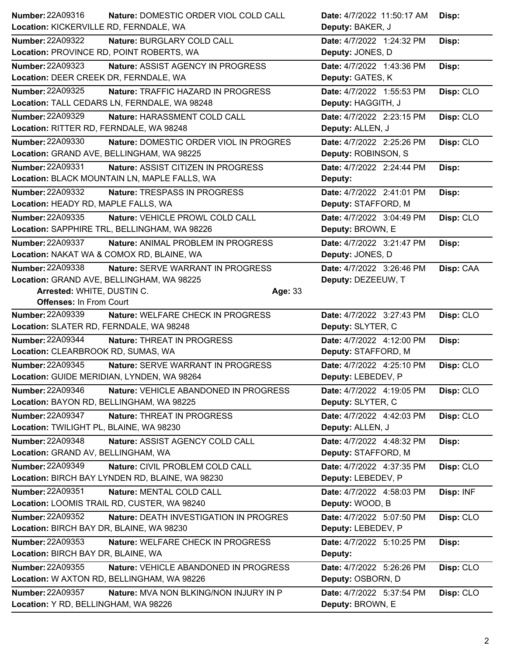| Number: 22A09316                          | Nature: DOMESTIC ORDER VIOL COLD CALL           | Date: 4/7/2022 11:50:17 AM | Disp:     |
|-------------------------------------------|-------------------------------------------------|----------------------------|-----------|
| Location: KICKERVILLE RD, FERNDALE, WA    |                                                 | Deputy: BAKER, J           |           |
| <b>Number: 22A09322</b>                   | Nature: BURGLARY COLD CALL                      | Date: 4/7/2022 1:24:32 PM  | Disp:     |
| Location: PROVINCE RD, POINT ROBERTS, WA  |                                                 | Deputy: JONES, D           |           |
| <b>Number: 22A09323</b>                   | Nature: ASSIST AGENCY IN PROGRESS               | Date: 4/7/2022 1:43:36 PM  | Disp:     |
| Location: DEER CREEK DR, FERNDALE, WA     |                                                 | Deputy: GATES, K           |           |
| Number: 22A09325                          | Nature: TRAFFIC HAZARD IN PROGRESS              | Date: 4/7/2022 1:55:53 PM  | Disp: CLO |
|                                           | Location: TALL CEDARS LN, FERNDALE, WA 98248    | Deputy: HAGGITH, J         |           |
| <b>Number: 22A09329</b>                   | Nature: HARASSMENT COLD CALL                    | Date: 4/7/2022 2:23:15 PM  | Disp: CLO |
| Location: RITTER RD, FERNDALE, WA 98248   |                                                 | Deputy: ALLEN, J           |           |
| <b>Number: 22A09330</b>                   | Nature: DOMESTIC ORDER VIOL IN PROGRES          | Date: 4/7/2022 2:25:26 PM  | Disp: CLO |
| Location: GRAND AVE, BELLINGHAM, WA 98225 |                                                 | Deputy: ROBINSON, S        |           |
| Number: 22A09331                          | Nature: ASSIST CITIZEN IN PROGRESS              | Date: 4/7/2022 2:24:44 PM  | Disp:     |
|                                           | Location: BLACK MOUNTAIN LN, MAPLE FALLS, WA    | Deputy:                    |           |
| Number: 22A09332                          | Nature: TRESPASS IN PROGRESS                    | Date: 4/7/2022 2:41:01 PM  | Disp:     |
| Location: HEADY RD, MAPLE FALLS, WA       |                                                 | Deputy: STAFFORD, M        |           |
| Number: 22A09335                          | Nature: VEHICLE PROWL COLD CALL                 | Date: 4/7/2022 3:04:49 PM  | Disp: CLO |
|                                           | Location: SAPPHIRE TRL, BELLINGHAM, WA 98226    | Deputy: BROWN, E           |           |
| Number: 22A09337                          | Nature: ANIMAL PROBLEM IN PROGRESS              | Date: 4/7/2022 3:21:47 PM  | Disp:     |
|                                           | Location: NAKAT WA & COMOX RD, BLAINE, WA       | Deputy: JONES, D           |           |
| <b>Number: 22A09338</b>                   | Nature: SERVE WARRANT IN PROGRESS               | Date: 4/7/2022 3:26:46 PM  | Disp: CAA |
|                                           | Location: GRAND AVE, BELLINGHAM, WA 98225       | Deputy: DEZEEUW, T         |           |
| Arrested: WHITE, DUSTIN C.                | Age: 33                                         |                            |           |
| <b>Offenses: In From Court</b>            |                                                 |                            |           |
|                                           |                                                 |                            |           |
| Number: 22A09339                          | Nature: WELFARE CHECK IN PROGRESS               | Date: 4/7/2022 3:27:43 PM  | Disp: CLO |
| Location: SLATER RD, FERNDALE, WA 98248   |                                                 | Deputy: SLYTER, C          |           |
| <b>Number: 22A09344</b>                   | Nature: THREAT IN PROGRESS                      | Date: 4/7/2022 4:12:00 PM  | Disp:     |
| Location: CLEARBROOK RD, SUMAS, WA        |                                                 | Deputy: STAFFORD, M        |           |
| <b>Number: 22A09345</b>                   | Nature: SERVE WARRANT IN PROGRESS               | Date: 4/7/2022 4:25:10 PM  | Disp: CLO |
|                                           | Location: GUIDE MERIDIAN, LYNDEN, WA 98264      | Deputy: LEBEDEV, P         |           |
| Number: 22A09346                          | Nature: VEHICLE ABANDONED IN PROGRESS           | Date: 4/7/2022 4:19:05 PM  | Disp: CLO |
| Location: BAYON RD, BELLINGHAM, WA 98225  |                                                 | Deputy: SLYTER, C          |           |
| <b>Number: 22A09347</b>                   | Nature: THREAT IN PROGRESS                      | Date: 4/7/2022 4:42:03 PM  | Disp: CLO |
| Location: TWILIGHT PL, BLAINE, WA 98230   |                                                 | Deputy: ALLEN, J           |           |
| Number: 22A09348                          | Nature: ASSIST AGENCY COLD CALL                 | Date: 4/7/2022 4:48:32 PM  | Disp:     |
| Location: GRAND AV, BELLINGHAM, WA        |                                                 | Deputy: STAFFORD, M        |           |
| Number: 22A09349                          | Nature: CIVIL PROBLEM COLD CALL                 | Date: 4/7/2022 4:37:35 PM  | Disp: CLO |
|                                           | Location: BIRCH BAY LYNDEN RD, BLAINE, WA 98230 | Deputy: LEBEDEV, P         |           |
| <b>Number: 22A09351</b>                   | Nature: MENTAL COLD CALL                        | Date: 4/7/2022 4:58:03 PM  | Disp: INF |
|                                           | Location: LOOMIS TRAIL RD, CUSTER, WA 98240     | Deputy: WOOD, B            |           |
| Number: 22A09352                          | Nature: DEATH INVESTIGATION IN PROGRES          | Date: 4/7/2022 5:07:50 PM  | Disp: CLO |
| Location: BIRCH BAY DR, BLAINE, WA 98230  |                                                 | Deputy: LEBEDEV, P         |           |
| Number: 22A09353                          | Nature: WELFARE CHECK IN PROGRESS               | Date: 4/7/2022 5:10:25 PM  | Disp:     |
| Location: BIRCH BAY DR, BLAINE, WA        |                                                 | Deputy:                    |           |
| <b>Number: 22A09355</b>                   | Nature: VEHICLE ABANDONED IN PROGRESS           | Date: 4/7/2022 5:26:26 PM  | Disp: CLO |
|                                           | Location: W AXTON RD, BELLINGHAM, WA 98226      | Deputy: OSBORN, D          |           |
| <b>Number: 22A09357</b>                   | Nature: MVA NON BLKING/NON INJURY IN P          | Date: 4/7/2022 5:37:54 PM  | Disp: CLO |